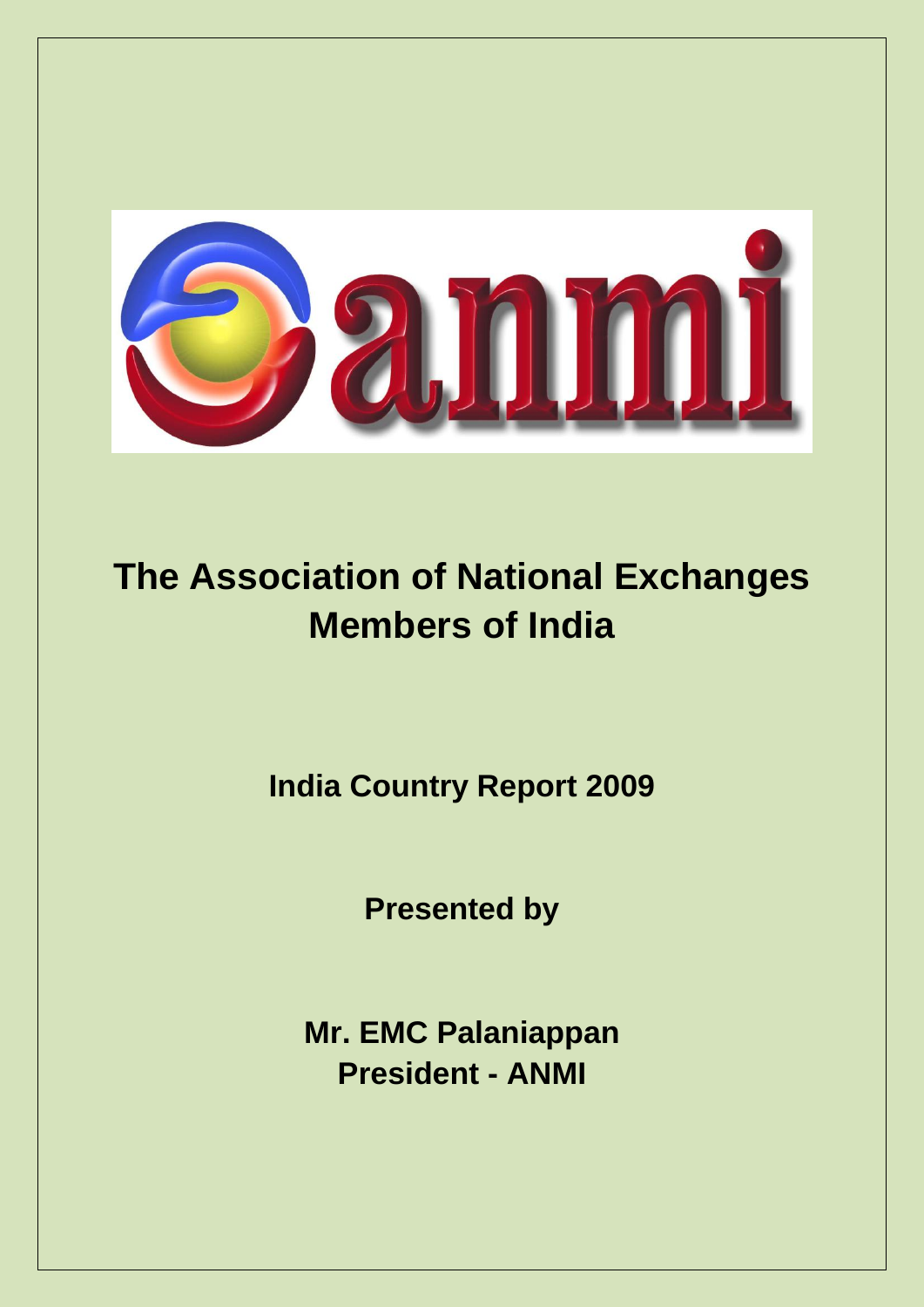

# **The Association of National Exchanges Members of India**

**India Country Report 2009**

**Presented by**

**Mr. EMC Palaniappan President - ANMI**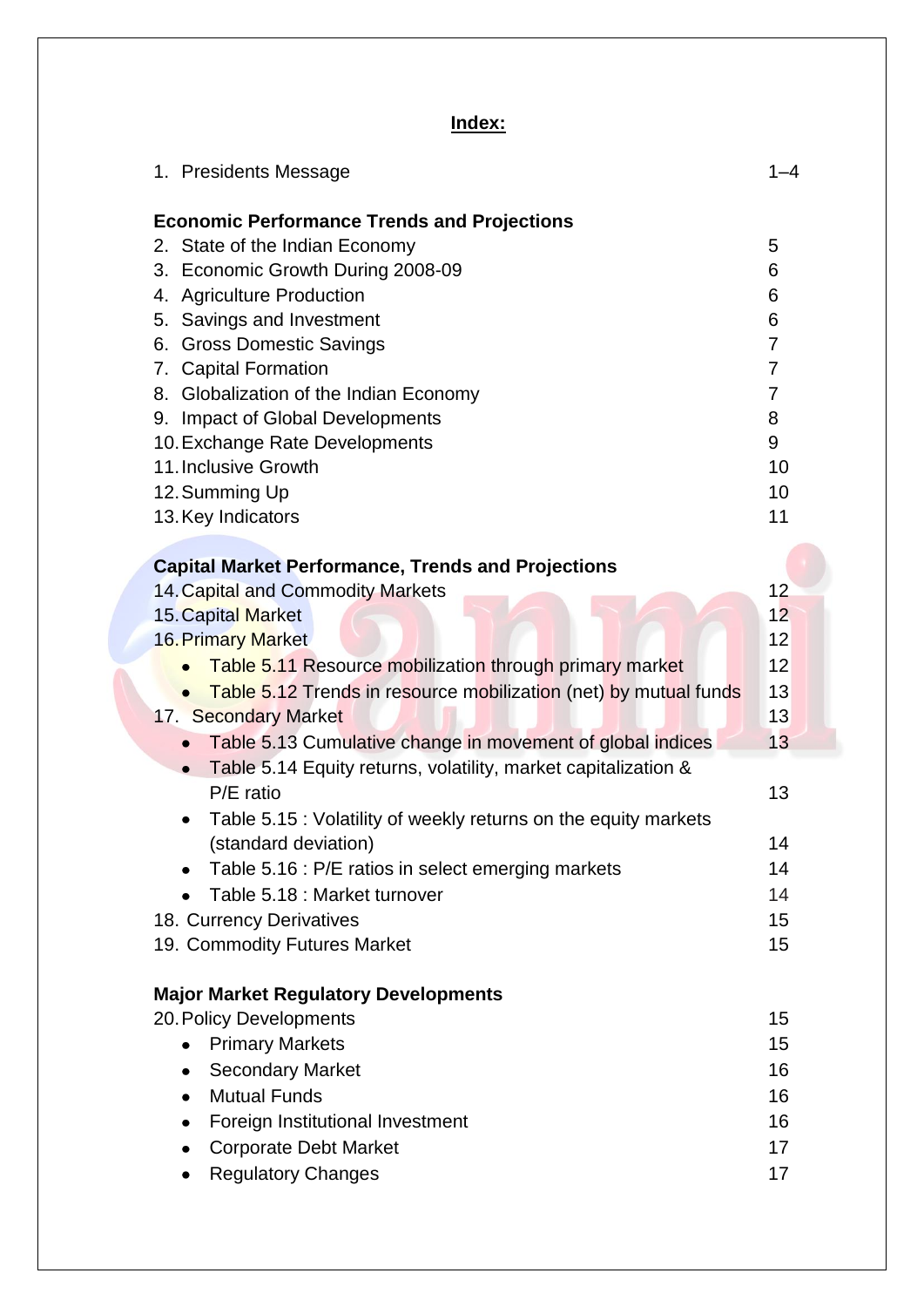# **Index:**

| 1. Presidents Message                                                                                                                                                                                                                                                                                                                                                                                                                        | 1–4                                                                                                |
|----------------------------------------------------------------------------------------------------------------------------------------------------------------------------------------------------------------------------------------------------------------------------------------------------------------------------------------------------------------------------------------------------------------------------------------------|----------------------------------------------------------------------------------------------------|
| <b>Economic Performance Trends and Projections</b><br>2. State of the Indian Economy<br>3. Economic Growth During 2008-09<br>4. Agriculture Production<br>5. Savings and Investment<br><b>Gross Domestic Savings</b><br>6.<br>7. Capital Formation<br>8. Globalization of the Indian Economy<br><b>Impact of Global Developments</b><br>9.<br>10. Exchange Rate Developments<br>11. Inclusive Growth<br>12. Summing Up<br>13. Key Indicators | 5<br>6<br>6<br>6<br>$\overline{7}$<br>$\overline{7}$<br>$\overline{7}$<br>8<br>9<br>10<br>10<br>11 |
| <b>Capital Market Performance, Trends and Projections</b><br>14. Capital and Commodity Markets<br>15. Capital Market<br><b>16. Primary Market</b><br>Table 5.11 Resource mobilization through primary market<br>Table 5.12 Trends in resource mobilization (net) by mutual funds<br>17. Secondary Market<br>Table 5.13 Cumulative change in movement of global indices<br>$\bullet$                                                          | 12<br>12<br>12<br>12<br>13<br>13<br>13                                                             |
| Table 5.14 Equity returns, volatility, market capitalization &<br>$\bullet$<br>P/E ratio<br>Table 5.15 : Volatility of weekly returns on the equity markets<br>(standard deviation)<br>Table 5.16 : P/E ratios in select emerging markets<br>Table 5.18 : Market turnover<br>18. Currency Derivatives<br>19. Commodity Futures Market                                                                                                        | 13<br>14<br>14<br>14<br>15<br>15                                                                   |
| <b>Major Market Regulatory Developments</b><br>20. Policy Developments<br><b>Primary Markets</b><br>$\bullet$<br><b>Secondary Market</b><br>$\bullet$<br><b>Mutual Funds</b><br>$\bullet$<br>Foreign Institutional Investment<br>$\bullet$<br><b>Corporate Debt Market</b><br>$\bullet$<br><b>Regulatory Changes</b><br>۰                                                                                                                    | 15<br>15<br>16<br>16<br>16<br>17<br>17                                                             |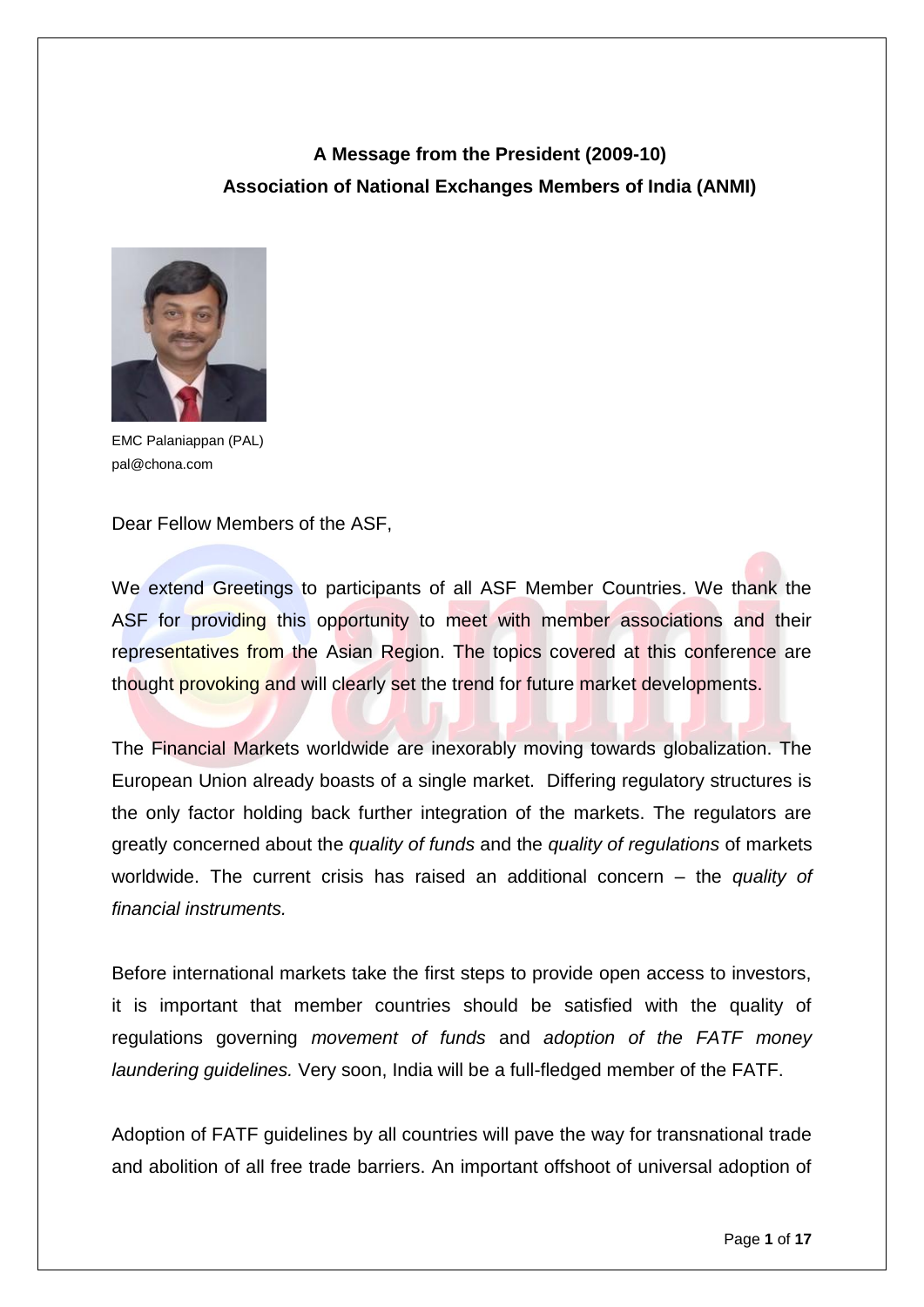# **A Message from the President (2009-10) Association of National Exchanges Members of India (ANMI)**



EMC Palaniappan (PAL) pal@chona.com

Dear Fellow Members of the ASF,

We extend Greetings to participants of all ASF Member Countries. We thank the ASF for providing this opportunity to meet with member associations and their representatives from the Asian Region. The topics covered at this conference are thought provoking and will clearly set the trend for future market developments.

The Financial Markets worldwide are inexorably moving towards globalization. The European Union already boasts of a single market. Differing regulatory structures is the only factor holding back further integration of the markets. The regulators are greatly concerned about the *quality of funds* and the *quality of regulations* of markets worldwide. The current crisis has raised an additional concern – the *quality of financial instruments.* 

Before international markets take the first steps to provide open access to investors, it is important that member countries should be satisfied with the quality of regulations governing *movement of funds* and *adoption of the FATF money laundering guidelines.* Very soon, India will be a full-fledged member of the FATF.

Adoption of FATF guidelines by all countries will pave the way for transnational trade and abolition of all free trade barriers. An important offshoot of universal adoption of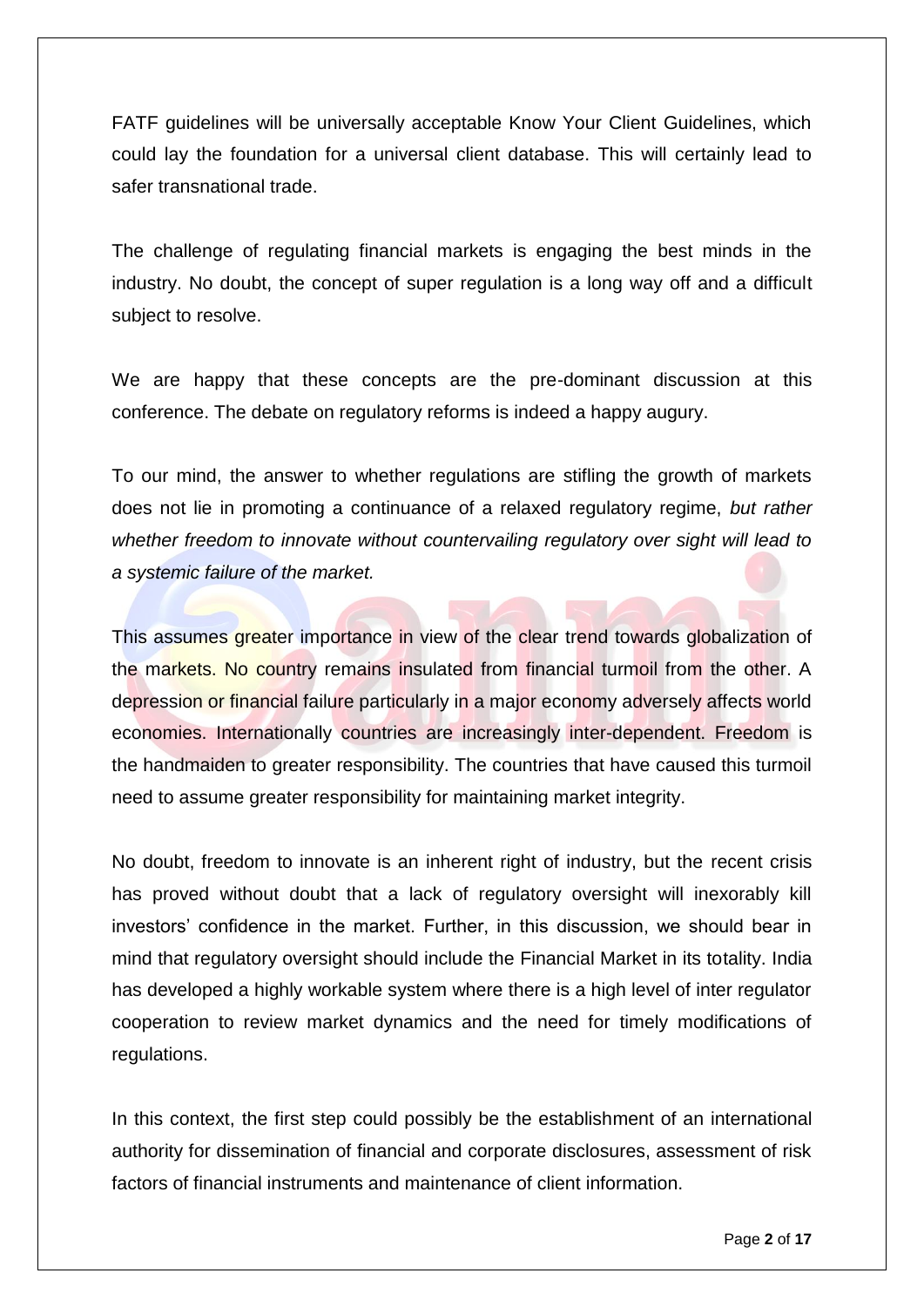FATF guidelines will be universally acceptable Know Your Client Guidelines, which could lay the foundation for a universal client database. This will certainly lead to safer transnational trade.

The challenge of regulating financial markets is engaging the best minds in the industry. No doubt, the concept of super regulation is a long way off and a difficult subject to resolve.

We are happy that these concepts are the pre-dominant discussion at this conference. The debate on regulatory reforms is indeed a happy augury.

To our mind, the answer to whether regulations are stifling the growth of markets does not lie in promoting a continuance of a relaxed regulatory regime, *but rather whether freedom to innovate without countervailing regulatory over sight will lead to a systemic failure of the market.* 

This assumes greater importance in view of the clear trend towards globalization of the markets. No country remains insulated from financial turmoil from the other. A depression or financial failure particularly in a major economy adversely affects world economies. Internationally countries are increasingly inter-dependent. Freedom is the handmaiden to greater responsibility. The countries that have caused this turmoil need to assume greater responsibility for maintaining market integrity.

No doubt, freedom to innovate is an inherent right of industry, but the recent crisis has proved without doubt that a lack of regulatory oversight will inexorably kill investors' confidence in the market. Further, in this discussion, we should bear in mind that regulatory oversight should include the Financial Market in its totality. India has developed a highly workable system where there is a high level of inter regulator cooperation to review market dynamics and the need for timely modifications of regulations.

In this context, the first step could possibly be the establishment of an international authority for dissemination of financial and corporate disclosures, assessment of risk factors of financial instruments and maintenance of client information.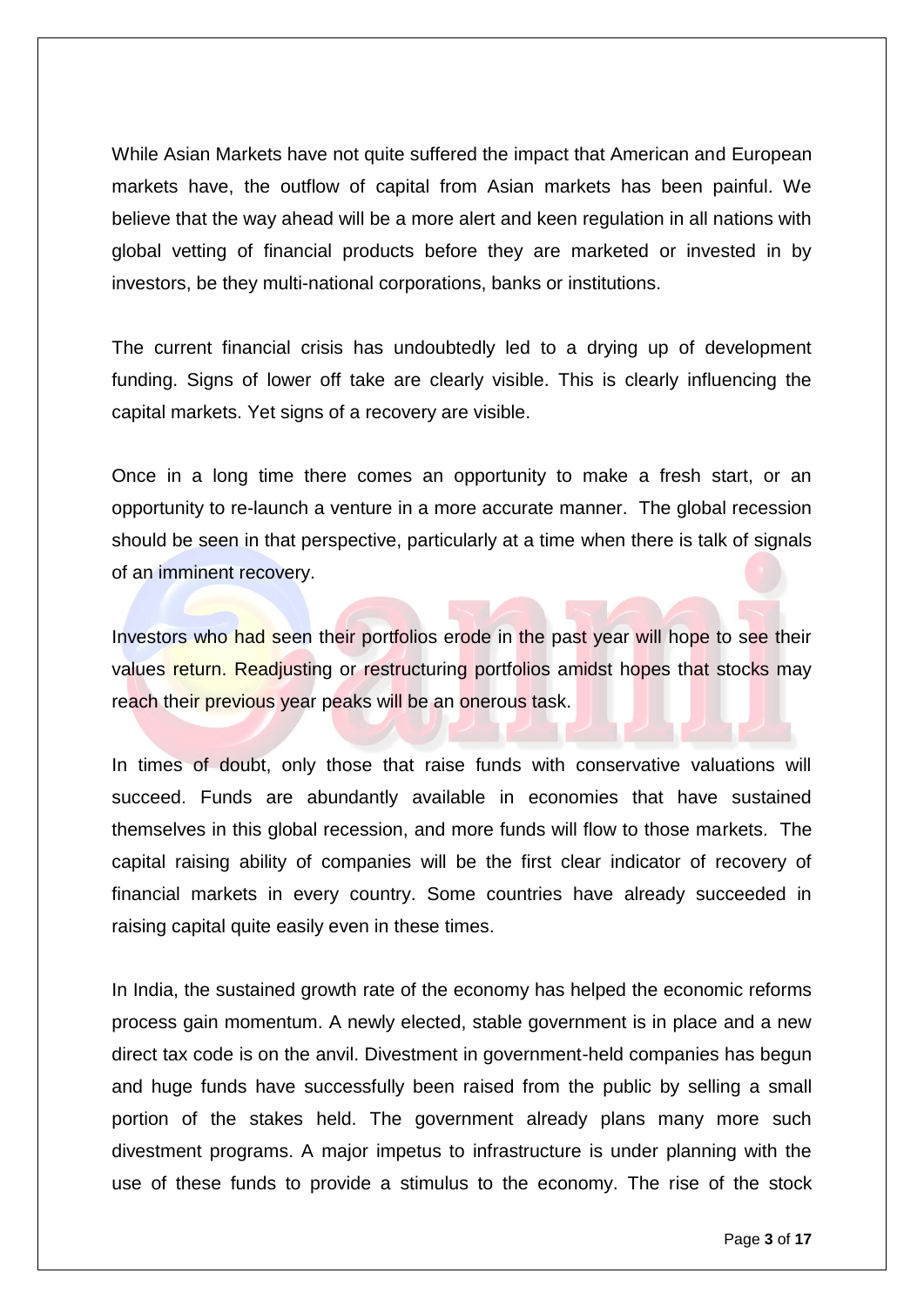While Asian Markets have not quite suffered the impact that American and European markets have, the outflow of capital from Asian markets has been painful. We believe that the way ahead will be a more alert and keen regulation in all nations with global vetting of financial products before they are marketed or invested in by investors, be they multi-national corporations, banks or institutions.

The current financial crisis has undoubtedly led to a drying up of development funding. Signs of lower off take are clearly visible. This is clearly influencing the capital markets. Yet signs of a recovery are visible.

Once in a long time there comes an opportunity to make a fresh start, or an opportunity to re-launch a venture in a more accurate manner. The global recession should be seen in that perspective, particularly at a time when there is talk of signals of an imminent recovery.

Investors who had seen their portfolios erode in the past year will hope to see their values return. Readjusting or restructuring portfolios amidst hopes that stocks may reach their previous year peaks will be an onerous task.

In times of doubt, only those that raise funds with conservative valuations will succeed. Funds are abundantly available in economies that have sustained themselves in this global recession, and more funds will flow to those markets. The capital raising ability of companies will be the first clear indicator of recovery of financial markets in every country. Some countries have already succeeded in raising capital quite easily even in these times.

In India, the sustained growth rate of the economy has helped the economic reforms process gain momentum. A newly elected, stable government is in place and a new direct tax code is on the anvil. Divestment in government-held companies has begun and huge funds have successfully been raised from the public by selling a small portion of the stakes held. The government already plans many more such divestment programs. A major impetus to infrastructure is under planning with the use of these funds to provide a stimulus to the economy. The rise of the stock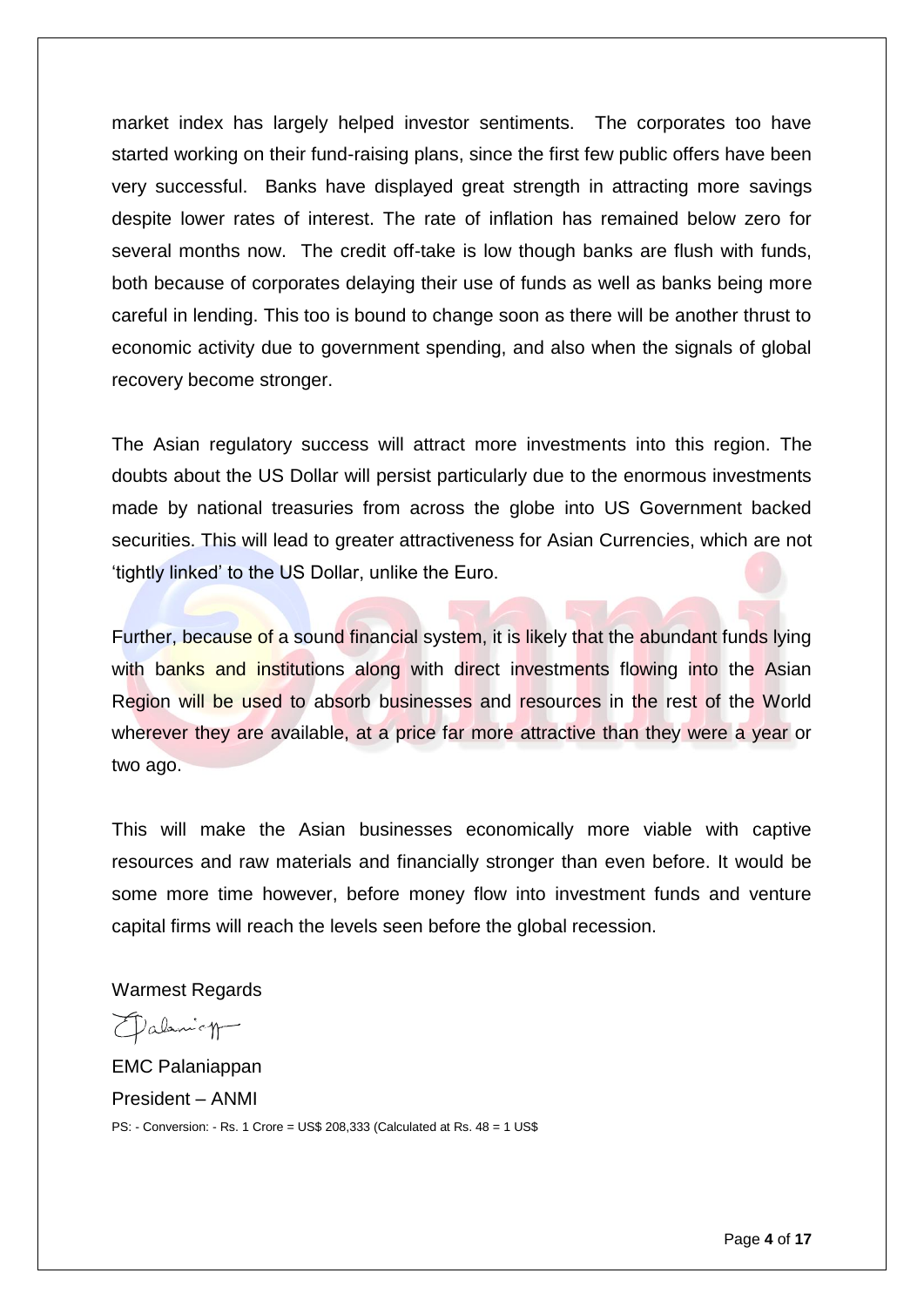market index has largely helped investor sentiments. The corporates too have started working on their fund-raising plans, since the first few public offers have been very successful. Banks have displayed great strength in attracting more savings despite lower rates of interest. The rate of inflation has remained below zero for several months now. The credit off-take is low though banks are flush with funds, both because of corporates delaying their use of funds as well as banks being more careful in lending. This too is bound to change soon as there will be another thrust to economic activity due to government spending, and also when the signals of global recovery become stronger.

The Asian regulatory success will attract more investments into this region. The doubts about the US Dollar will persist particularly due to the enormous investments made by national treasuries from across the globe into US Government backed securities. This will lead to greater attractiveness for Asian Currencies, which are not 'tightly linked' to the US Dollar, unlike the Euro.

Further, because of a sound financial system, it is likely that the abundant funds lying with banks and institutions along with direct investments flowing into the Asian Region will be used to absorb businesses and resources in the rest of the World wherever they are available, at a price far more attractive than they were a year or two ago.

This will make the Asian businesses economically more viable with captive resources and raw materials and financially stronger than even before. It would be some more time however, before money flow into investment funds and venture capital firms will reach the levels seen before the global recession.

Warmest Regards

Dalanicy

EMC Palaniappan President – ANMI PS: - Conversion: - Rs. 1 Crore = US\$ 208,333 (Calculated at Rs. 48 = 1 US\$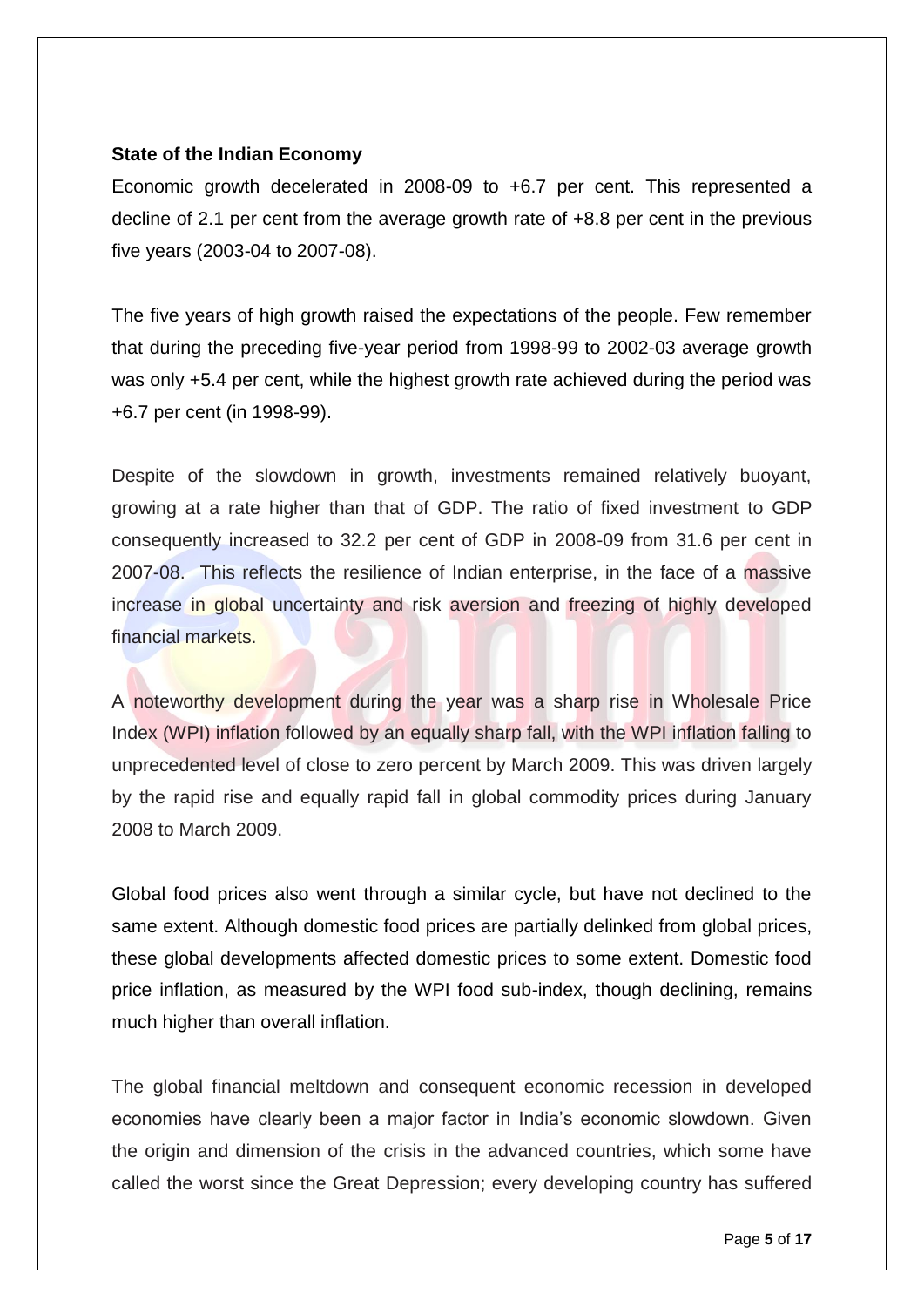## **State of the Indian Economy**

Economic growth decelerated in 2008-09 to +6.7 per cent. This represented a decline of 2.1 per cent from the average growth rate of +8.8 per cent in the previous five years (2003-04 to 2007-08).

The five years of high growth raised the expectations of the people. Few remember that during the preceding five-year period from 1998-99 to 2002-03 average growth was only +5.4 per cent, while the highest growth rate achieved during the period was +6.7 per cent (in 1998-99).

Despite of the slowdown in growth, investments remained relatively buoyant, growing at a rate higher than that of GDP. The ratio of fixed investment to GDP consequently increased to 32.2 per cent of GDP in 2008-09 from 31.6 per cent in 2007-08. This reflects the resilience of Indian enterprise, in the face of a massive increase in global uncertainty and risk aversion and freezing of highly developed financial markets.

A noteworthy development during the year was a sharp rise in Wholesale Price Index (WPI) inflation followed by an equally sharp fall, with the WPI inflation falling to unprecedented level of close to zero percent by March 2009. This was driven largely by the rapid rise and equally rapid fall in global commodity prices during January 2008 to March 2009.

Global food prices also went through a similar cycle, but have not declined to the same extent. Although domestic food prices are partially delinked from global prices, these global developments affected domestic prices to some extent. Domestic food price inflation, as measured by the WPI food sub-index, though declining, remains much higher than overall inflation.

The global financial meltdown and consequent economic recession in developed economies have clearly been a major factor in India's economic slowdown. Given the origin and dimension of the crisis in the advanced countries, which some have called the worst since the Great Depression; every developing country has suffered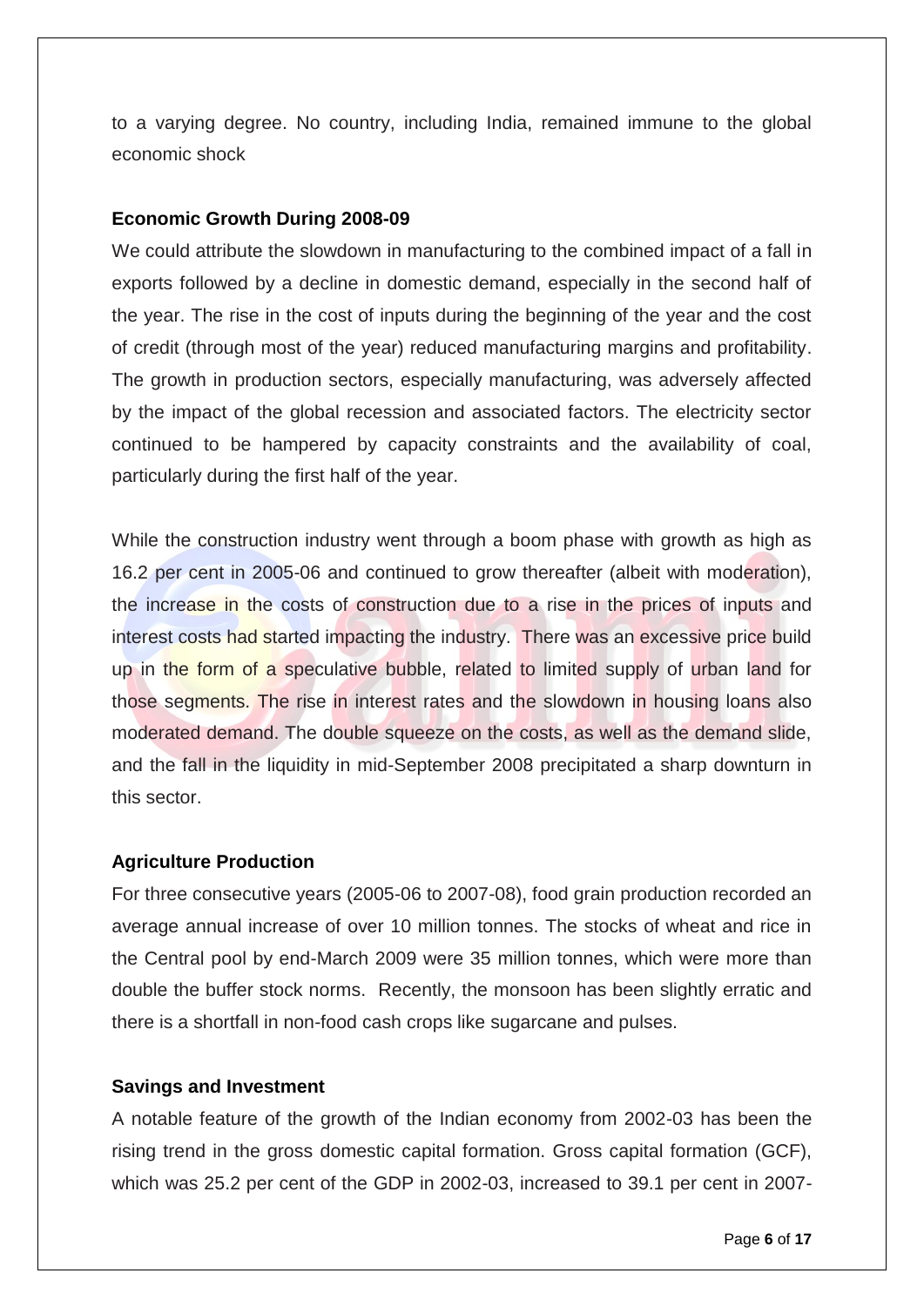to a varying degree. No country, including India, remained immune to the global economic shock

### **Economic Growth During 2008-09**

We could attribute the slowdown in manufacturing to the combined impact of a fall in exports followed by a decline in domestic demand, especially in the second half of the year. The rise in the cost of inputs during the beginning of the year and the cost of credit (through most of the year) reduced manufacturing margins and profitability. The growth in production sectors, especially manufacturing, was adversely affected by the impact of the global recession and associated factors. The electricity sector continued to be hampered by capacity constraints and the availability of coal, particularly during the first half of the year.

While the construction industry went through a boom phase with growth as high as 16.2 per cent in 2005-06 and continued to grow thereafter (albeit with moderation), the increase in the costs of construction due to a rise in the prices of inputs and interest costs had started impacting the industry. There was an excessive price build up in the form of a speculative bubble, related to limited supply of urban land for those segments. The rise in interest rates and the slowdown in housing loans also moderated demand. The double squeeze on the costs, as well as the demand slide, and the fall in the liquidity in mid-September 2008 precipitated a sharp downturn in this sector.

#### **Agriculture Production**

For three consecutive years (2005-06 to 2007-08), food grain production recorded an average annual increase of over 10 million tonnes. The stocks of wheat and rice in the Central pool by end-March 2009 were 35 million tonnes, which were more than double the buffer stock norms. Recently, the monsoon has been slightly erratic and there is a shortfall in non-food cash crops like sugarcane and pulses.

#### **Savings and Investment**

A notable feature of the growth of the Indian economy from 2002-03 has been the rising trend in the gross domestic capital formation. Gross capital formation (GCF), which was 25.2 per cent of the GDP in 2002-03, increased to 39.1 per cent in 2007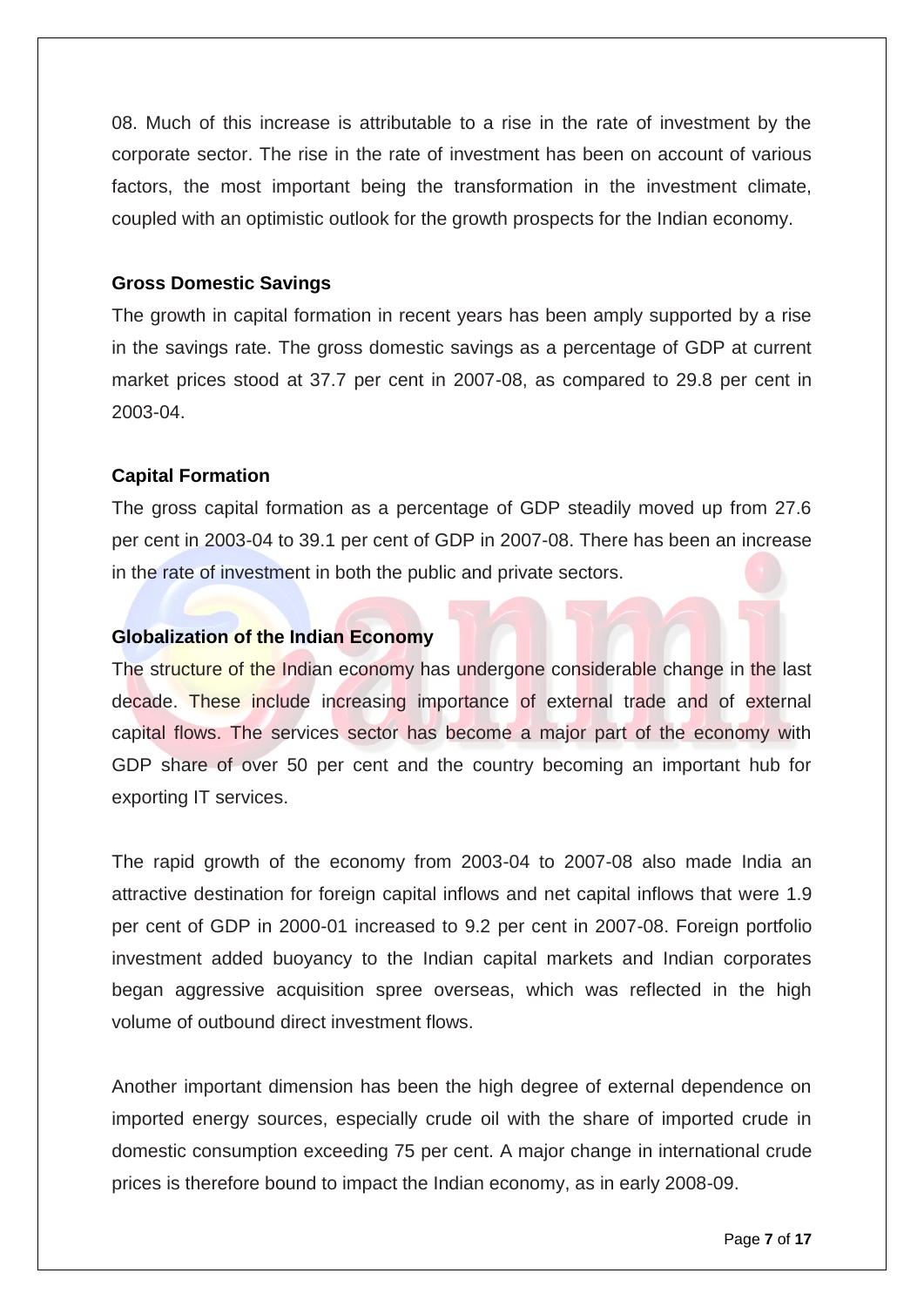08. Much of this increase is attributable to a rise in the rate of investment by the corporate sector. The rise in the rate of investment has been on account of various factors, the most important being the transformation in the investment climate, coupled with an optimistic outlook for the growth prospects for the Indian economy.

#### **Gross Domestic Savings**

The growth in capital formation in recent years has been amply supported by a rise in the savings rate. The gross domestic savings as a percentage of GDP at current market prices stood at 37.7 per cent in 2007-08, as compared to 29.8 per cent in 2003-04.

### **Capital Formation**

The gross capital formation as a percentage of GDP steadily moved up from 27.6 per cent in 2003-04 to 39.1 per cent of GDP in 2007-08. There has been an increase in the rate of investment in both the public and private sectors.

# **Globalization of the Indian Economy**

The structure of the Indian economy has undergone considerable change in the last decade. These include increasing importance of external trade and of external capital flows. The services sector has become a major part of the economy with GDP share of over 50 per cent and the country becoming an important hub for exporting IT services.

The rapid growth of the economy from 2003-04 to 2007-08 also made India an attractive destination for foreign capital inflows and net capital inflows that were 1.9 per cent of GDP in 2000-01 increased to 9.2 per cent in 2007-08. Foreign portfolio investment added buoyancy to the Indian capital markets and Indian corporates began aggressive acquisition spree overseas, which was reflected in the high volume of outbound direct investment flows.

Another important dimension has been the high degree of external dependence on imported energy sources, especially crude oil with the share of imported crude in domestic consumption exceeding 75 per cent. A major change in international crude prices is therefore bound to impact the Indian economy, as in early 2008-09.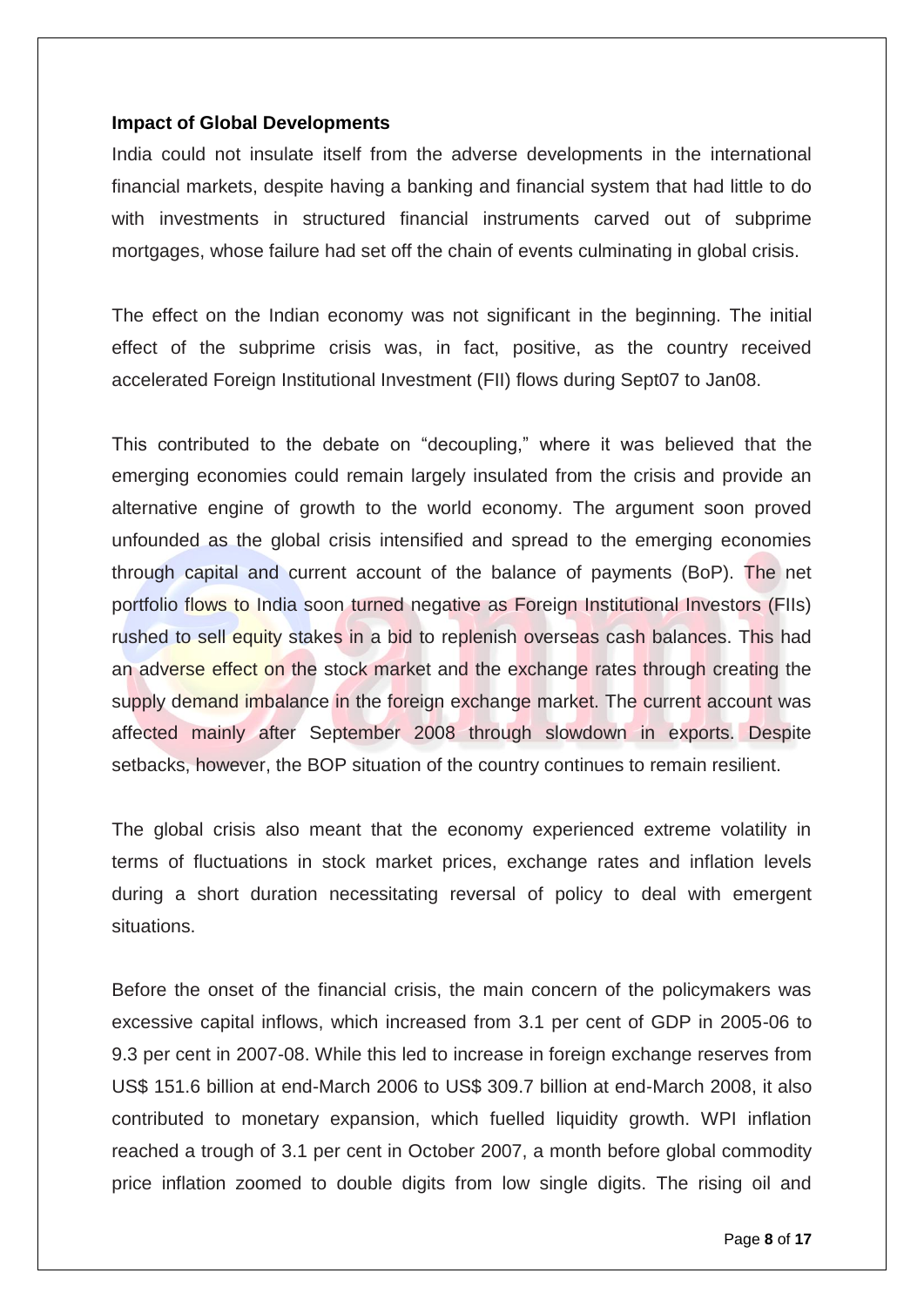#### **Impact of Global Developments**

India could not insulate itself from the adverse developments in the international financial markets, despite having a banking and financial system that had little to do with investments in structured financial instruments carved out of subprime mortgages, whose failure had set off the chain of events culminating in global crisis.

The effect on the Indian economy was not significant in the beginning. The initial effect of the subprime crisis was, in fact, positive, as the country received accelerated Foreign Institutional Investment (FII) flows during Sept07 to Jan08.

This contributed to the debate on "decoupling," where it was believed that the emerging economies could remain largely insulated from the crisis and provide an alternative engine of growth to the world economy. The argument soon proved unfounded as the global crisis intensified and spread to the emerging economies through capital and current account of the balance of payments (BoP). The net portfolio flows to India soon turned negative as Foreign Institutional Investors (FIIs) rushed to sell equity stakes in a bid to replenish overseas cash balances. This had an adverse effect on the stock market and the exchange rates through creating the supply demand imbalance in the foreign exchange market. The current account was affected mainly after September 2008 through slowdown in exports. Despite setbacks, however, the BOP situation of the country continues to remain resilient.

The global crisis also meant that the economy experienced extreme volatility in terms of fluctuations in stock market prices, exchange rates and inflation levels during a short duration necessitating reversal of policy to deal with emergent situations.

Before the onset of the financial crisis, the main concern of the policymakers was excessive capital inflows, which increased from 3.1 per cent of GDP in 2005-06 to 9.3 per cent in 2007-08. While this led to increase in foreign exchange reserves from US\$ 151.6 billion at end-March 2006 to US\$ 309.7 billion at end-March 2008, it also contributed to monetary expansion, which fuelled liquidity growth. WPI inflation reached a trough of 3.1 per cent in October 2007, a month before global commodity price inflation zoomed to double digits from low single digits. The rising oil and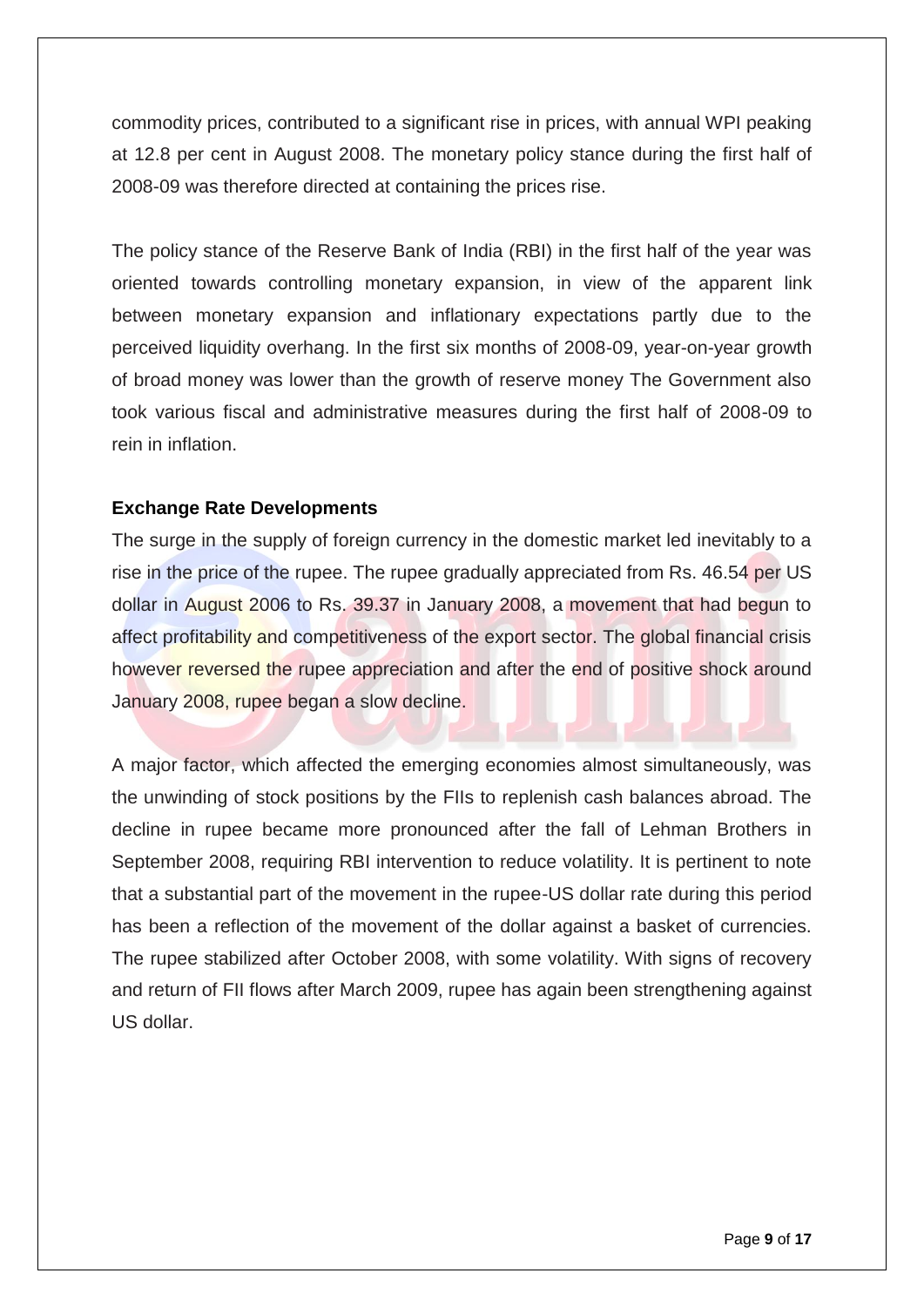commodity prices, contributed to a significant rise in prices, with annual WPI peaking at 12.8 per cent in August 2008. The monetary policy stance during the first half of 2008-09 was therefore directed at containing the prices rise.

The policy stance of the Reserve Bank of India (RBI) in the first half of the year was oriented towards controlling monetary expansion, in view of the apparent link between monetary expansion and inflationary expectations partly due to the perceived liquidity overhang. In the first six months of 2008-09, year-on-year growth of broad money was lower than the growth of reserve money The Government also took various fiscal and administrative measures during the first half of 2008-09 to rein in inflation.

# **Exchange Rate Developments**

The surge in the supply of foreign currency in the domestic market led inevitably to a rise in the price of the rupee. The rupee gradually appreciated from Rs. 46.54 per US dollar in August 2006 to Rs. 39.37 in January 2008, a movement that had begun to affect profitability and competitiveness of the export sector. The global financial crisis however reversed the rupee appreciation and after the end of positive shock around January 2008, rupee began a slow decline.

A major factor, which affected the emerging economies almost simultaneously, was the unwinding of stock positions by the FIIs to replenish cash balances abroad. The decline in rupee became more pronounced after the fall of Lehman Brothers in September 2008, requiring RBI intervention to reduce volatility. It is pertinent to note that a substantial part of the movement in the rupee-US dollar rate during this period has been a reflection of the movement of the dollar against a basket of currencies. The rupee stabilized after October 2008, with some volatility. With signs of recovery and return of FII flows after March 2009, rupee has again been strengthening against US dollar.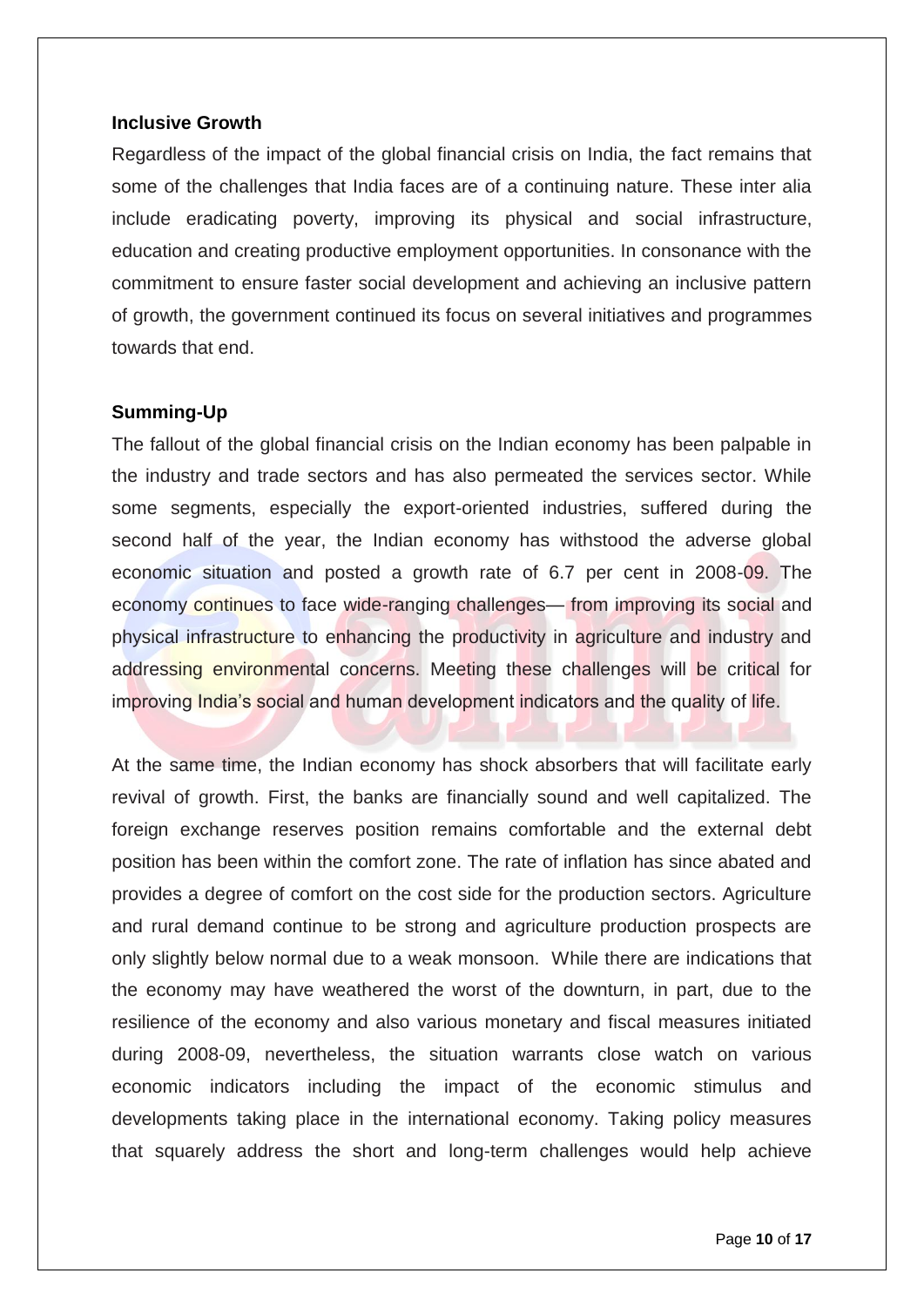#### **Inclusive Growth**

Regardless of the impact of the global financial crisis on India, the fact remains that some of the challenges that India faces are of a continuing nature. These inter alia include eradicating poverty, improving its physical and social infrastructure, education and creating productive employment opportunities. In consonance with the commitment to ensure faster social development and achieving an inclusive pattern of growth, the government continued its focus on several initiatives and programmes towards that end.

#### **Summing-Up**

The fallout of the global financial crisis on the Indian economy has been palpable in the industry and trade sectors and has also permeated the services sector. While some segments, especially the export-oriented industries, suffered during the second half of the year, the Indian economy has withstood the adverse global economic situation and posted a growth rate of 6.7 per cent in 2008-09. The economy continues to face wide-ranging challenges— from improving its social and physical infrastructure to enhancing the productivity in agriculture and industry and addressing environmental concerns. Meeting these challenges will be critical for improving India's social and human development indicators and the quality of life.

At the same time, the Indian economy has shock absorbers that will facilitate early revival of growth. First, the banks are financially sound and well capitalized. The foreign exchange reserves position remains comfortable and the external debt position has been within the comfort zone. The rate of inflation has since abated and provides a degree of comfort on the cost side for the production sectors. Agriculture and rural demand continue to be strong and agriculture production prospects are only slightly below normal due to a weak monsoon. While there are indications that the economy may have weathered the worst of the downturn, in part, due to the resilience of the economy and also various monetary and fiscal measures initiated during 2008-09, nevertheless, the situation warrants close watch on various economic indicators including the impact of the economic stimulus and developments taking place in the international economy. Taking policy measures that squarely address the short and long-term challenges would help achieve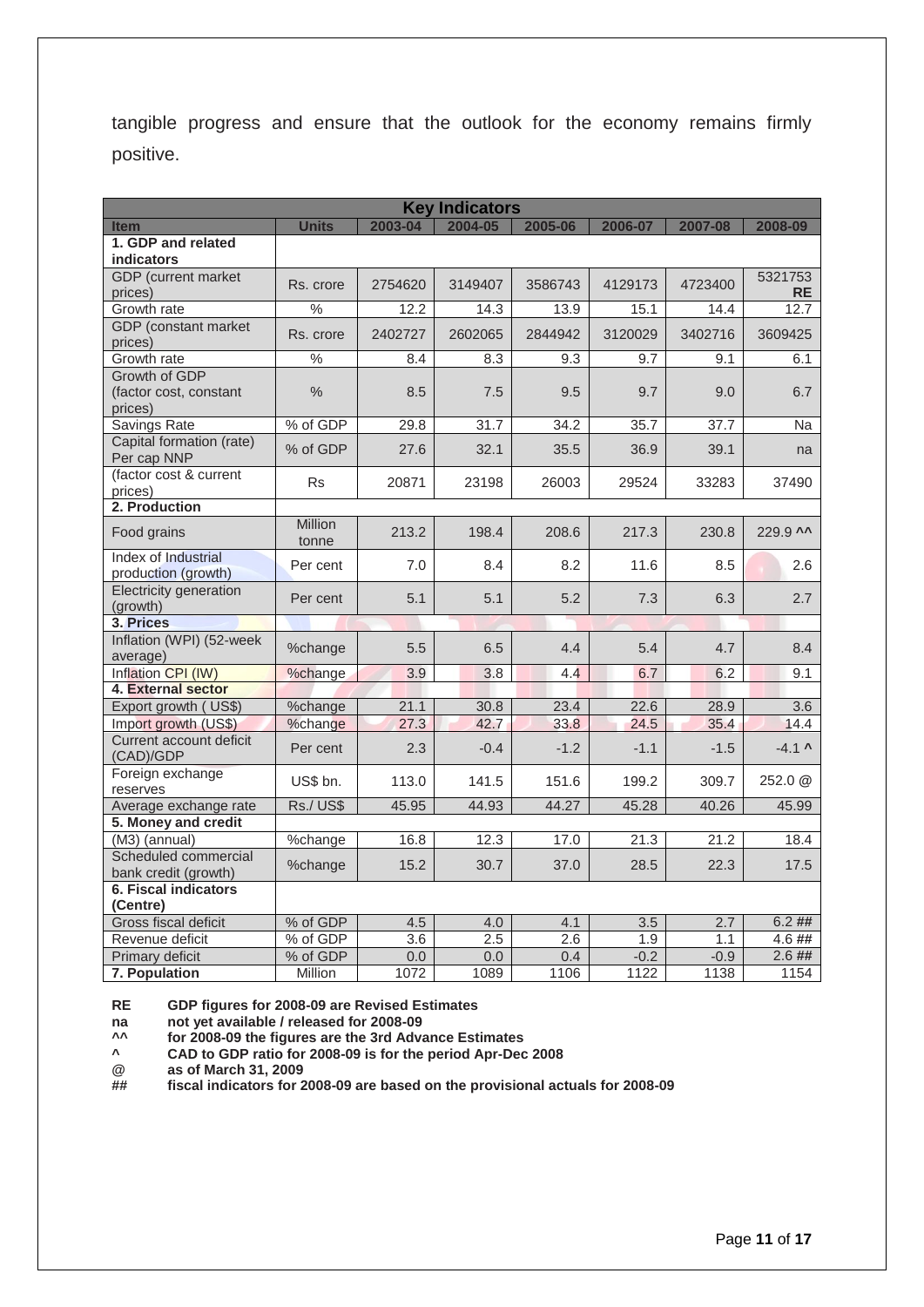tangible progress and ensure that the outlook for the economy remains firmly positive.

| <b>Key Indicators</b>                              |                    |                  |              |              |              |              |                          |
|----------------------------------------------------|--------------------|------------------|--------------|--------------|--------------|--------------|--------------------------|
| <b>Item</b>                                        | <b>Units</b>       | 2003-04          | 2004-05      | 2005-06      | 2006-07      | 2007-08      | 2008-09                  |
| 1. GDP and related<br><b>indicators</b>            |                    |                  |              |              |              |              |                          |
| <b>GDP</b> (current market<br>prices)              | Rs. crore          | 2754620          | 3149407      | 3586743      | 4129173      | 4723400      | 5321753<br><b>RE</b>     |
| Growth rate                                        | $\frac{0}{0}$      | 12.2             | 14.3         | 13.9         | 15.1         | 14.4         | 12.7                     |
| GDP (constant market<br>prices)                    | Rs. crore          | 2402727          | 2602065      | 2844942      | 3120029      | 3402716      | 3609425                  |
| Growth rate                                        | $\frac{1}{2}$      | 8.4              | 8.3          | 9.3          | 9.7          | 9.1          | 6.1                      |
| Growth of GDP<br>(factor cost, constant<br>prices) | $\frac{0}{0}$      | 8.5              | 7.5          | 9.5          | 9.7          | 9.0          | 6.7                      |
| Savings Rate                                       | % of GDP           | 29.8             | 31.7         | 34.2         | 35.7         | 37.7         | <b>Na</b>                |
| Capital formation (rate)<br>Per cap NNP            | % of GDP           | 27.6             | 32.1         | 35.5         | 36.9         | 39.1         | na                       |
| (factor cost & current<br>prices)                  | Rs                 | 20871            | 23198        | 26003        | 29524        | 33283        | 37490                    |
| 2. Production                                      |                    |                  |              |              |              |              |                          |
| Food grains                                        | Million<br>tonne   | 213.2            | 198.4        | 208.6        | 217.3        | 230.8        | 229.9 ^^                 |
| Index of Industrial<br>production (growth)         | Per cent           | 7.0              | 8.4          | 8.2          | 11.6         | 8.5          | 2.6                      |
| Electricity generation<br>(growth)                 | Per cent           | 5.1              | 5.1          | 5.2          | 7.3          | 6.3          | 2.7                      |
| 3. Prices                                          |                    |                  |              |              |              |              |                          |
| Inflation (WPI) (52-week<br>average)               | %change            | 5.5              | 6.5          | 4.4          | 5.4          | 4.7          | 8.4                      |
| Inflation CPI (IW)                                 | %change            | 3.9              | 3.8          | 4.4          | 6.7          | 6.2          | 9.1                      |
| 4. External sector                                 |                    |                  |              |              |              |              |                          |
| Export growth (US\$)<br>Import growth (US\$)       | %change<br>%change | 21.1<br>27.3     | 30.8<br>42.7 | 23.4<br>33.8 | 22.6<br>24.5 | 28.9<br>35.4 | $\overline{3.6}$<br>14.4 |
| Current account deficit<br>(CAD)/GDP               | Per cent           | 2.3              | $-0.4$       | $-1.2$       | $-1.1$       | $-1.5$       | $-4.1$ ^                 |
| Foreign exchange<br>reserves                       | US\$ bn.           | 113.0            | 141.5        | 151.6        | 199.2        | 309.7        | 252.0 @                  |
| Average exchange rate                              | Rs./US\$           | 45.95            | 44.93        | 44.27        | 45.28        | 40.26        | 45.99                    |
| 5. Money and credit                                |                    |                  |              |              |              |              |                          |
| (M3) (annual)                                      | %change            | 16.8             | 12.3         | 17.0         | 21.3         | 21.2         | 18.4                     |
| Scheduled commercial<br>bank credit (growth)       | %change            | 15.2             | 30.7         | 37.0         | 28.5         | 22.3         | 17.5                     |
| <b>6. Fiscal indicators</b><br>(Centre)            |                    |                  |              |              |              |              |                          |
| Gross fiscal deficit                               | % of GDP           | 4.5              | 4.0          | 4.1          | 3.5          | 2.7          | 6.2##                    |
| Revenue deficit                                    | % of GDP           | $\overline{3.6}$ | 2.5          | 2.6          | 1.9          | 1.1          | 4.6##                    |
| Primary deficit                                    | % of GDP           | 0.0              | 0.0          | 0.4          | $-0.2$       | $-0.9$       | 2.6##                    |
| 7. Population                                      | Million            | 1072             | 1089         | 1106         | 1122         | 1138         | 1154                     |

**RE GDP figures for 2008-09 are Revised Estimates**

**na not yet available / released for 2008-09**

**^^ for 2008-09 the figures are the 3rd Advance Estimates**

**^ CAD to GDP ratio for 2008-09 is for the period Apr-Dec 2008**

**@ as of March 31, 2009**

**## fiscal indicators for 2008-09 are based on the provisional actuals for 2008-09**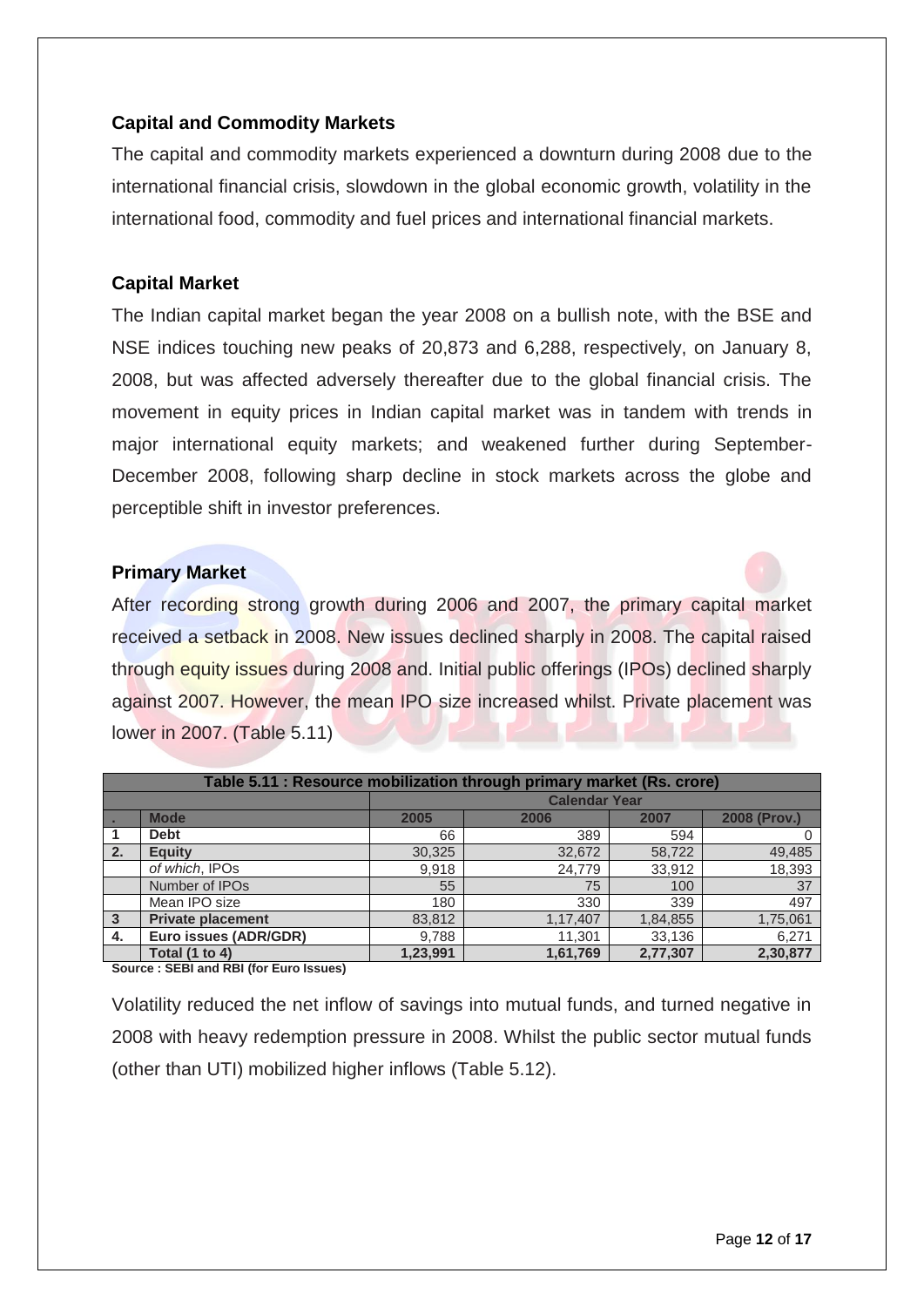# **Capital and Commodity Markets**

The capital and commodity markets experienced a downturn during 2008 due to the international financial crisis, slowdown in the global economic growth, volatility in the international food, commodity and fuel prices and international financial markets.

# **Capital Market**

The Indian capital market began the year 2008 on a bullish note, with the BSE and NSE indices touching new peaks of 20,873 and 6,288, respectively, on January 8, 2008, but was affected adversely thereafter due to the global financial crisis. The movement in equity prices in Indian capital market was in tandem with trends in major international equity markets; and weakened further during September-December 2008, following sharp decline in stock markets across the globe and perceptible shift in investor preferences.

### **Primary Market**

After recording strong growth during 2006 and 2007, the primary capital market received a setback in 2008. New issues declined sharply in 2008. The capital raised through equity issues during 2008 and. Initial public offerings (IPOs) declined sharply against 2007. However, the mean IPO size increased whilst. Private placement was lower in 2007. (Table 5.11)

|              | Table 5.11 : Resource mobilization through primary market (Rs. crore) |          |                      |          |              |  |  |
|--------------|-----------------------------------------------------------------------|----------|----------------------|----------|--------------|--|--|
|              |                                                                       |          | <b>Calendar Year</b> |          |              |  |  |
|              | <b>Mode</b>                                                           | 2005     | 2006                 | 2007     | 2008 (Prov.) |  |  |
|              | <b>Debt</b>                                                           | 66       | 389                  | 594      | 0            |  |  |
| 2.7          | <b>Equity</b>                                                         | 30,325   | 32,672               | 58,722   | 49,485       |  |  |
|              | of which, IPOs                                                        | 9,918    | 24,779               | 33,912   | 18,393       |  |  |
|              | Number of IPO <sub>s</sub>                                            | 55       | 75                   | 100      | 37           |  |  |
|              | Mean IPO size                                                         | 180      | 330                  | 339      | 497          |  |  |
| $\mathbf{3}$ | <b>Private placement</b>                                              | 83,812   | 1,17,407             | 1,84,855 | 1,75,061     |  |  |
| 4.           | Euro issues (ADR/GDR)                                                 | 9,788    | 11,301               | 33,136   | 6,271        |  |  |
|              | Total (1 to 4)                                                        | 1,23,991 | 1,61,769             | 2,77,307 | 2,30,877     |  |  |
|              | $\sim$ $ \sim$ $\sim$                                                 |          |                      |          |              |  |  |

**Source : SEBI and RBI (for Euro Issues)**

Volatility reduced the net inflow of savings into mutual funds, and turned negative in 2008 with heavy redemption pressure in 2008. Whilst the public sector mutual funds (other than UTI) mobilized higher inflows (Table 5.12).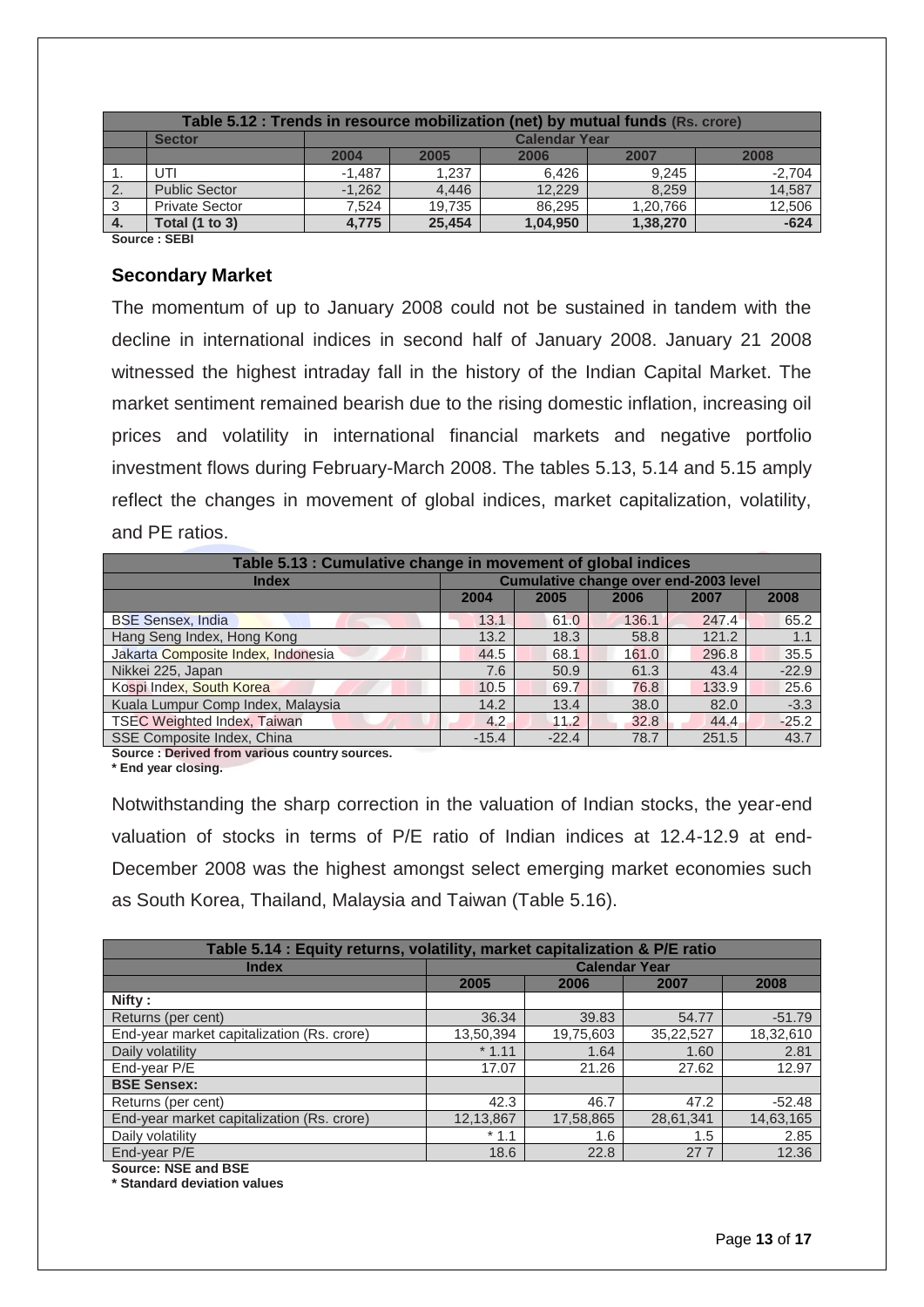|                | Table 5.12 : Trends in resource mobilization (net) by mutual funds (Rs. crore) |          |                      |          |          |          |  |  |
|----------------|--------------------------------------------------------------------------------|----------|----------------------|----------|----------|----------|--|--|
|                | <b>Sector</b>                                                                  |          | <b>Calendar Year</b> |          |          |          |  |  |
|                |                                                                                | 2004     | 2005                 | 2006     | 2007     | 2008     |  |  |
| п.             | UTI                                                                            | $-1.487$ | 1.237                | 6.426    | 9.245    | $-2,704$ |  |  |
| 2.             | <b>Public Sector</b>                                                           | $-1.262$ | 4.446                | 12,229   | 8.259    | 14,587   |  |  |
| -3             | <b>Private Sector</b>                                                          | 7.524    | 19.735               | 86.295   | 1,20,766 | 12,506   |  |  |
| $\overline{4}$ | <b>Total (1 to 3)</b>                                                          | 4.775    | 25.454               | 1,04,950 | 1,38,270 | $-624$   |  |  |
|                | $\sim$ $\sim$ $\sim$ $\sim$<br>$\sim$ $\sim$ $\sim$                            |          |                      |          |          |          |  |  |

**Source : SEBI**

#### **Secondary Market**

The momentum of up to January 2008 could not be sustained in tandem with the decline in international indices in second half of January 2008. January 21 2008 witnessed the highest intraday fall in the history of the Indian Capital Market. The market sentiment remained bearish due to the rising domestic inflation, increasing oil prices and volatility in international financial markets and negative portfolio investment flows during February-March 2008. The tables 5.13, 5.14 and 5.15 amply reflect the changes in movement of global indices, market capitalization, volatility, and PE ratios.

| Table 5.13 : Cumulative change in movement of global indices |                                              |         |       |       |         |  |  |
|--------------------------------------------------------------|----------------------------------------------|---------|-------|-------|---------|--|--|
| <b>Index</b>                                                 | <b>Cumulative change over end-2003 level</b> |         |       |       |         |  |  |
|                                                              | 2004                                         | 2005    | 2006  | 2007  | 2008    |  |  |
| <b>BSE Sensex, India</b>                                     | 13.1                                         | 61.0    | 136.1 | 247.4 | 65.2    |  |  |
| Hang Seng Index, Hong Kong                                   | 13.2                                         | 18.3    | 58.8  | 121.2 | 1.1     |  |  |
| Jakarta Composite Index, Indonesia                           | 44.5                                         | 68.1    | 161.0 | 296.8 | 35.5    |  |  |
| Nikkei 225, Japan                                            | 7.6                                          | 50.9    | 61.3  | 43.4  | $-22.9$ |  |  |
| Kospi Index, South Korea                                     | 10.5                                         | 69.7    | 76.8  | 133.9 | 25.6    |  |  |
| Kuala Lumpur Comp Index, Malaysia                            | 14.2                                         | 13.4    | 38.0  | 82.0  | $-3.3$  |  |  |
| <b>TSEC Weighted Index, Taiwan</b>                           | 4.2                                          | 11.2    | 32.8  | 44.4  | $-25.2$ |  |  |
| SSE Composite Index, China                                   | $-15.4$                                      | $-22.4$ | 78.7  | 251.5 | 43.7    |  |  |

**Source : Derived from various country sources.**

**\* End year closing.**

Notwithstanding the sharp correction in the valuation of Indian stocks, the year-end valuation of stocks in terms of P/E ratio of Indian indices at 12.4-12.9 at end-December 2008 was the highest amongst select emerging market economies such as South Korea, Thailand, Malaysia and Taiwan (Table 5.16).

| Table 5.14 : Equity returns, volatility, market capitalization & P/E ratio |                      |           |           |           |  |  |
|----------------------------------------------------------------------------|----------------------|-----------|-----------|-----------|--|--|
| <b>Index</b>                                                               | <b>Calendar Year</b> |           |           |           |  |  |
|                                                                            | 2005                 | 2006      | 2007      | 2008      |  |  |
| Nifty:                                                                     |                      |           |           |           |  |  |
| Returns (per cent)                                                         | 36.34                | 39.83     | 54.77     | $-51.79$  |  |  |
| End-year market capitalization (Rs. crore)                                 | 13,50,394            | 19,75,603 | 35,22,527 | 18,32,610 |  |  |
| Daily volatility                                                           | $*1.11$              | 1.64      | 1.60      | 2.81      |  |  |
| End-year P/E                                                               | 17.07                | 21.26     | 27.62     | 12.97     |  |  |
| <b>BSE Sensex:</b>                                                         |                      |           |           |           |  |  |
| Returns (per cent)                                                         | 42.3                 | 46.7      | 47.2      | $-52.48$  |  |  |
| End-year market capitalization (Rs. crore)                                 | 12,13,867            | 17,58,865 | 28,61,341 | 14,63,165 |  |  |
| Daily volatility                                                           | $*1.1$               | 1.6       | 1.5       | 2.85      |  |  |
| End-year P/E                                                               | 18.6                 | 22.8      | 277       | 12.36     |  |  |

**Source: NSE and BSE**

**\* Standard deviation values**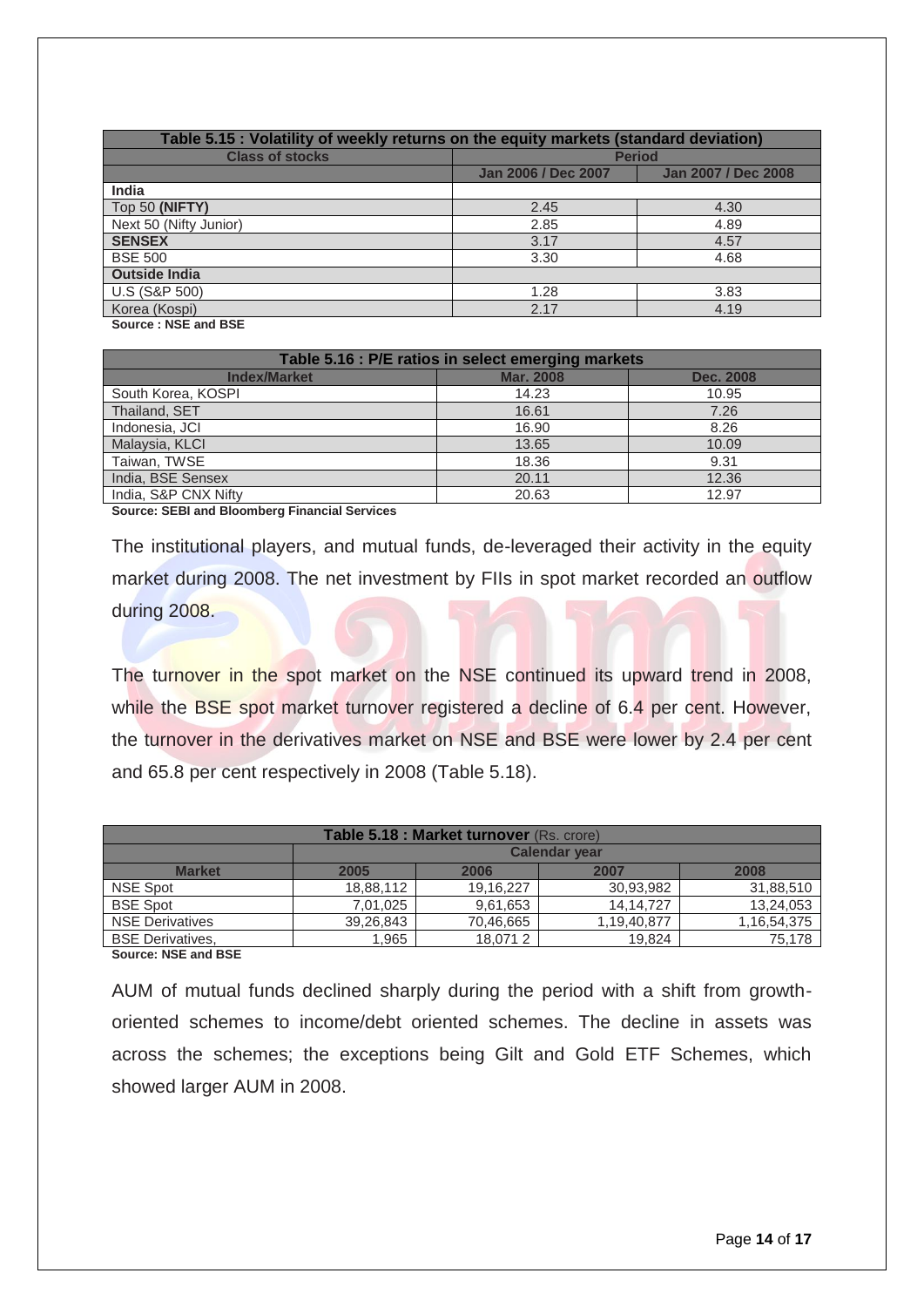| Table 5.15 : Volatility of weekly returns on the equity markets (standard deviation) |                     |                     |  |  |  |  |  |
|--------------------------------------------------------------------------------------|---------------------|---------------------|--|--|--|--|--|
| <b>Class of stocks</b>                                                               | <b>Period</b>       |                     |  |  |  |  |  |
|                                                                                      | Jan 2006 / Dec 2007 | Jan 2007 / Dec 2008 |  |  |  |  |  |
| <b>India</b>                                                                         |                     |                     |  |  |  |  |  |
| Top 50 (NIFTY)                                                                       | 2.45                | 4.30                |  |  |  |  |  |
| Next 50 (Nifty Junior)                                                               | 2.85                | 4.89                |  |  |  |  |  |
| <b>SENSEX</b>                                                                        | 3.17                | 4.57                |  |  |  |  |  |
| <b>BSE 500</b>                                                                       | 3.30                | 4.68                |  |  |  |  |  |
| <b>Outside India</b>                                                                 |                     |                     |  |  |  |  |  |
| U.S (S&P 500)                                                                        | 1.28                | 3.83                |  |  |  |  |  |
| Korea (Kospi)                                                                        | 2.17                | 4.19                |  |  |  |  |  |
| Concert MOE and DOE.                                                                 |                     |                     |  |  |  |  |  |

**Source : NSE and BSE**

| Table 5.16 : P/E ratios in select emerging markets |                  |                  |  |  |  |
|----------------------------------------------------|------------------|------------------|--|--|--|
| <b>Index/Market</b>                                | <b>Mar. 2008</b> | <b>Dec. 2008</b> |  |  |  |
| South Korea, KOSPI                                 | 14.23            | 10.95            |  |  |  |
| Thailand, SET                                      | 16.61            | 7.26             |  |  |  |
| Indonesia, JCI                                     | 16.90            | 8.26             |  |  |  |
| Malaysia, KLCI                                     | 13.65            | 10.09            |  |  |  |
| Taiwan, TWSE                                       | 18.36            | 9.31             |  |  |  |
| India, BSE Sensex                                  | 20.11            | 12.36            |  |  |  |
| India, S&P CNX Nifty                               | 20.63            | 12.97            |  |  |  |

**Source: SEBI and Bloomberg Financial Services**

The institutional players, and mutual funds, de-leveraged their activity in the equity market during 2008. The net investment by FIIs in spot market recorded an outflow during 2008.

The turnover in the spot market on the NSE continued its upward trend in 2008, while the BSE spot market turnover registered a decline of 6.4 per cent. However, the turnover in the derivatives market on NSE and BSE were lower by 2.4 per cent and 65.8 per cent respectively in 2008 (Table 5.18).

| Table 5.18 : Market turnover (Rs. crore) |                      |           |             |             |  |  |  |  |
|------------------------------------------|----------------------|-----------|-------------|-------------|--|--|--|--|
|                                          | <b>Calendar year</b> |           |             |             |  |  |  |  |
| <b>Market</b>                            | 2005                 | 2006      | 2007        | 2008        |  |  |  |  |
| <b>NSE Spot</b>                          | 18,88,112            | 19,16,227 | 30,93,982   | 31,88,510   |  |  |  |  |
| <b>BSE Spot</b>                          | 7,01,025             | 9,61,653  | 14.14.727   | 13,24,053   |  |  |  |  |
| <b>NSE Derivatives</b>                   | 39,26,843            | 70,46,665 | 1,19,40,877 | 1,16,54,375 |  |  |  |  |
| <b>BSE Derivatives.</b>                  | 1,965                | 18.0712   | 19.824      | 75.178      |  |  |  |  |

**Source: NSE and BSE**

AUM of mutual funds declined sharply during the period with a shift from growthoriented schemes to income/debt oriented schemes. The decline in assets was across the schemes; the exceptions being Gilt and Gold ETF Schemes, which showed larger AUM in 2008.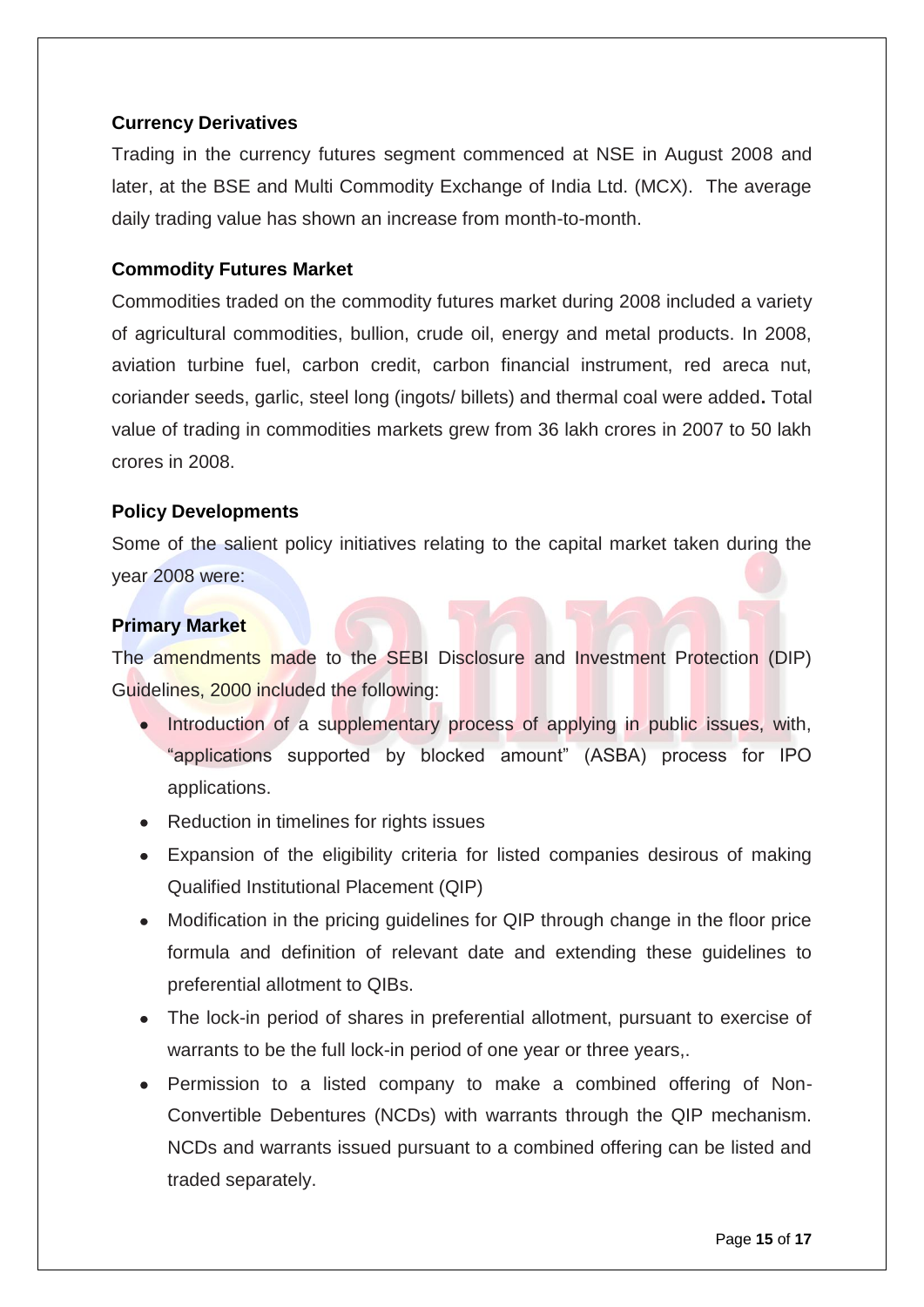# **Currency Derivatives**

Trading in the currency futures segment commenced at NSE in August 2008 and later, at the BSE and Multi Commodity Exchange of India Ltd. (MCX). The average daily trading value has shown an increase from month-to-month.

# **Commodity Futures Market**

Commodities traded on the commodity futures market during 2008 included a variety of agricultural commodities, bullion, crude oil, energy and metal products. In 2008, aviation turbine fuel, carbon credit, carbon financial instrument, red areca nut, coriander seeds, garlic, steel long (ingots/ billets) and thermal coal were added**.** Total value of trading in commodities markets grew from 36 lakh crores in 2007 to 50 lakh crores in 2008.

### **Policy Developments**

Some of the salient policy initiatives relating to the capital market taken during the year 2008 were:

### **Primary Market**

The amendments made to the SEBI Disclosure and Investment Protection (DIP) Guidelines, 2000 included the following:

- Introduction of a supplementary process of applying in public issues, with, ―applications supported by blocked amount‖ (ASBA) process for IPO applications.
- Reduction in timelines for rights issues
- Expansion of the eligibility criteria for listed companies desirous of making Qualified Institutional Placement (QIP)
- Modification in the pricing guidelines for QIP through change in the floor price formula and definition of relevant date and extending these guidelines to preferential allotment to QIBs.
- The lock-in period of shares in preferential allotment, pursuant to exercise of warrants to be the full lock-in period of one year or three years,.
- Permission to a listed company to make a combined offering of Non-Convertible Debentures (NCDs) with warrants through the QIP mechanism. NCDs and warrants issued pursuant to a combined offering can be listed and traded separately.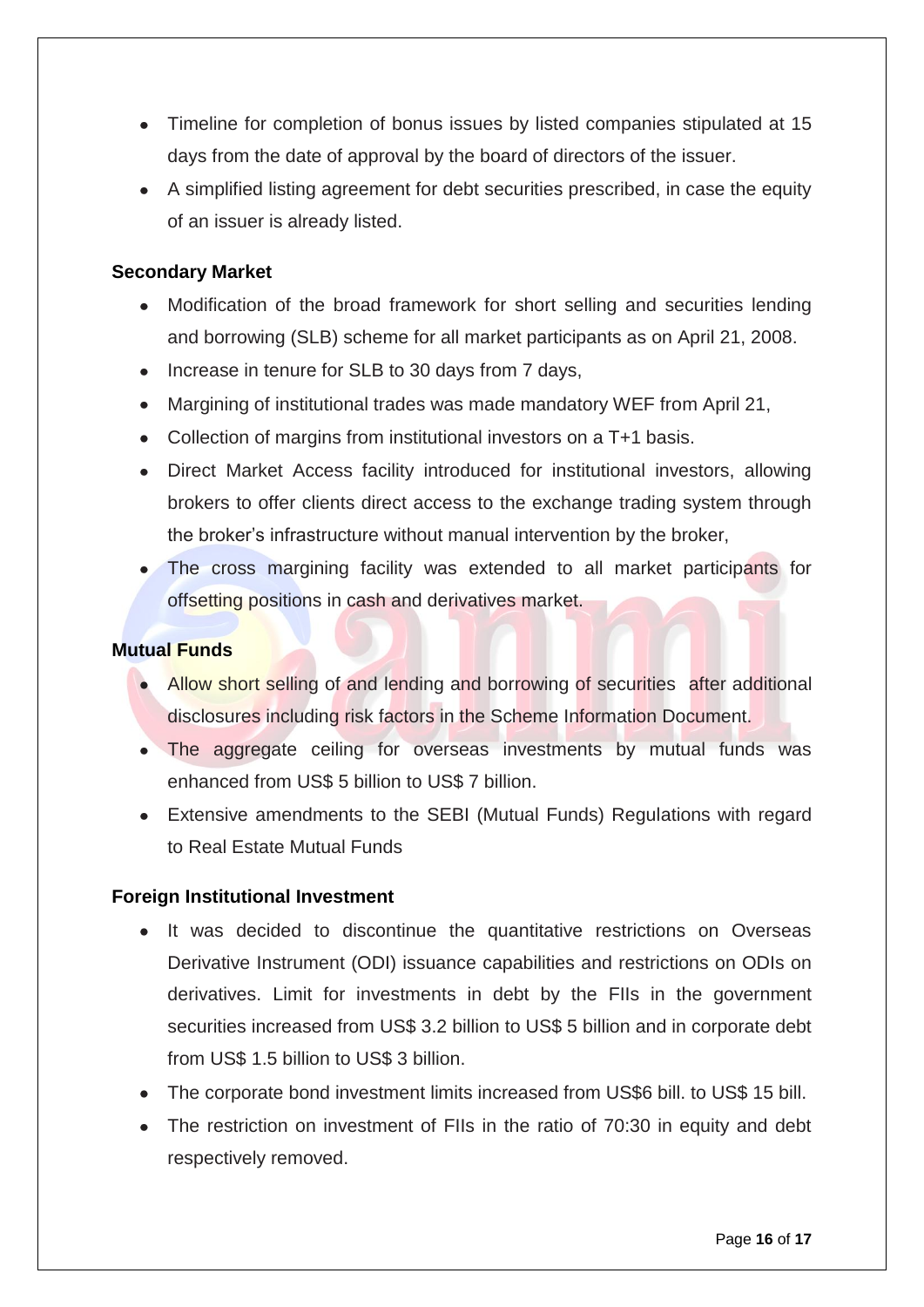- Timeline for completion of bonus issues by listed companies stipulated at 15 days from the date of approval by the board of directors of the issuer.
- A simplified listing agreement for debt securities prescribed, in case the equity of an issuer is already listed.

# **Secondary Market**

- Modification of the broad framework for short selling and securities lending  $\bullet$ and borrowing (SLB) scheme for all market participants as on April 21, 2008.
- Increase in tenure for SLB to 30 days from 7 days,
- Margining of institutional trades was made mandatory WEF from April 21,
- Collection of margins from institutional investors on a T+1 basis.
- Direct Market Access facility introduced for institutional investors, allowing brokers to offer clients direct access to the exchange trading system through the broker's infrastructure without manual intervention by the broker,
- The cross margining facility was extended to all market participants for offsetting positions in cash and derivatives market.

## **Mutual Funds**

- Allow short selling of and lending and borrowing of securities after additional disclosures including risk factors in the Scheme Information Document.
- The aggregate ceiling for overseas investments by mutual funds was enhanced from US\$ 5 billion to US\$ 7 billion.
- Extensive amendments to the SEBI (Mutual Funds) Regulations with regard to Real Estate Mutual Funds

# **Foreign Institutional Investment**

- It was decided to discontinue the quantitative restrictions on Overseas Derivative Instrument (ODI) issuance capabilities and restrictions on ODIs on derivatives. Limit for investments in debt by the FIIs in the government securities increased from US\$ 3.2 billion to US\$ 5 billion and in corporate debt from US\$ 1.5 billion to US\$ 3 billion.
- The corporate bond investment limits increased from US\$6 bill. to US\$ 15 bill.
- The restriction on investment of FIIs in the ratio of 70:30 in equity and debt respectively removed.